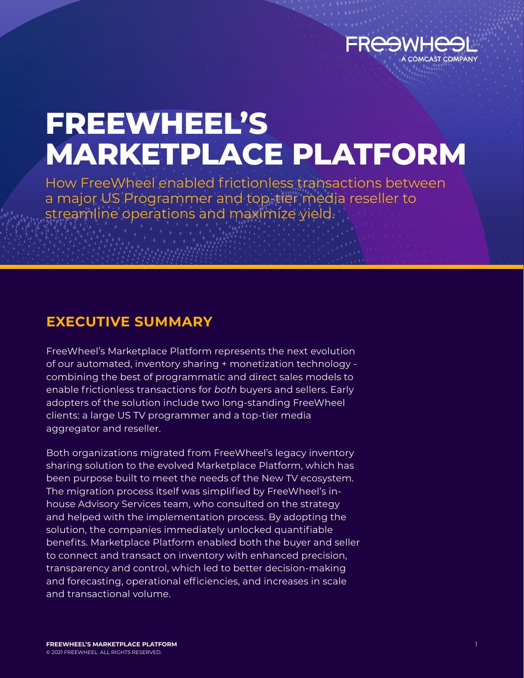

# **FREEWHEEL'S MARKETPLACE PLATFORM**

How FreeWheel enabled frictionless transactions between a major US Programmer and top-tier media reseller to streamline operations and maximize yield.

### **EXECUTIVE SUMMARY**

FreeWheel's Marketplace Platform represents the next evolution of our automated, inventory sharing + monetization technology combining the best of programmatic and direct sales models to enable frictionless transactions for *both* buyers and sellers. Early adopters of the solution include two long-standing FreeWheel clients: a large US TV programmer and a top-tier media aggregator and reseller.

Both organizations migrated from FreeWheel's legacy inventory sharing solution to the evolved Marketplace Platform, which has been purpose built to meet the needs of the New TV ecosystem. The migration process itself was simplified by FreeWheel's inhouse Advisory Services team, who consulted on the strategy and helped with the implementation process. By adopting the solution, the companies immediately unlocked quantifiable benefits. Marketplace Platform enabled both the buyer and seller to connect and transact on inventory with enhanced precision, transparency and control, which led to better decision-making and forecasting, operational efficiencies, and increases in scale and transactional volume.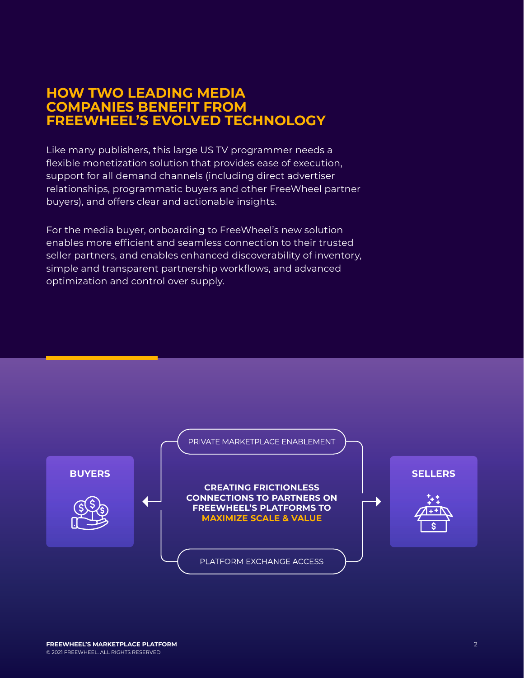### **HOW TWO LEADING MEDIA COMPANIES BENEFIT FROM FREEWHEEL'S EVOLVED TECHNOLOGY**

Like many publishers, this large US TV programmer needs a flexible monetization solution that provides ease of execution, support for all demand channels (including direct advertiser relationships, programmatic buyers and other FreeWheel partner buyers), and offers clear and actionable insights.

For the media buyer, onboarding to FreeWheel's new solution enables more efficient and seamless connection to their trusted seller partners, and enables enhanced discoverability of inventory, simple and transparent partnership workflows, and advanced optimization and control over supply.

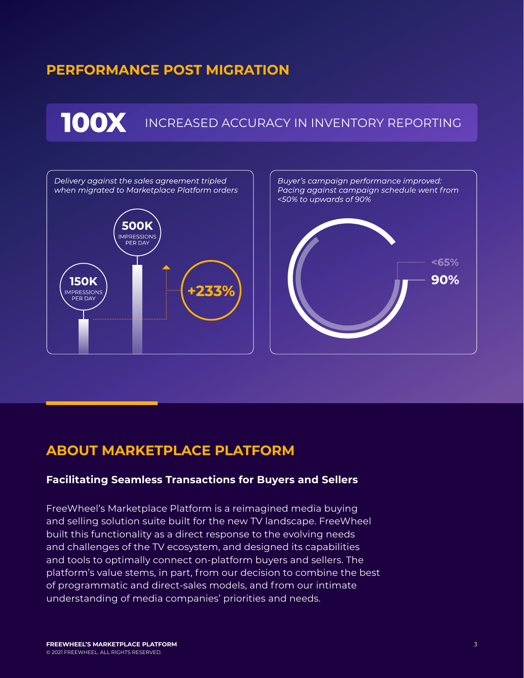### **PERFORMANCE POST MIGRATION**

## **100X** INCREASED ACCURACY IN INVENTORY REPORTING



### **ABOUT MARKETPLACE PLATFORM**

#### **Facilitating Seamless Transactions for Buyers and Sellers**

FreeWheel's Marketplace Platform is a reimagined media buying and selling solution suite built for the new TV landscape. FreeWheel built this functionality as a direct response to the evolving needs and challenges of the TV ecosystem, and designed its capabilities and tools to optimally connect on-platform buyers and sellers. The platform's value stems, in part, from our decision to combine the best of programmatic and direct-sales models, and from our intimate understanding of media companies' priorities and needs.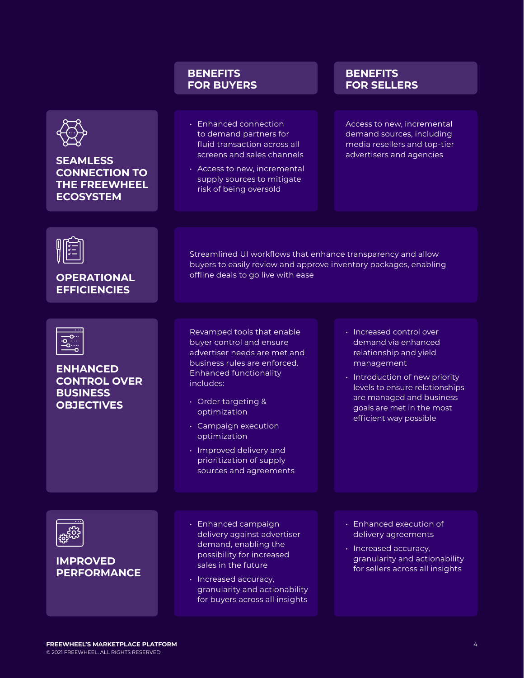|                                                                                               | <b>BENEFITS</b><br><b>FOR BUYERS</b>                                                                                                                                                                                                                                                                                                 | <b>BENEFITS</b><br><b>FOR SELLERS</b>                                                                                                                                                                                                          |
|-----------------------------------------------------------------------------------------------|--------------------------------------------------------------------------------------------------------------------------------------------------------------------------------------------------------------------------------------------------------------------------------------------------------------------------------------|------------------------------------------------------------------------------------------------------------------------------------------------------------------------------------------------------------------------------------------------|
| <b>SEAMLESS</b><br><b>CONNECTION TO</b><br><b>THE FREEWHEEL</b><br><b>ECOSYSTEM</b>           | · Enhanced connection<br>to demand partners for<br>fluid transaction across all<br>screens and sales channels<br>· Access to new, incremental<br>supply sources to mitigate<br>risk of being oversold                                                                                                                                | Access to new, incremental<br>demand sources, including<br>media resellers and top-tier<br>advertisers and agencies                                                                                                                            |
| <b>OPERATIONAL</b><br><b>EFFICIENCIES</b>                                                     | Streamlined UI workflows that enhance transparency and allow<br>buyers to easily review and approve inventory packages, enabling<br>offline deals to go live with ease                                                                                                                                                               |                                                                                                                                                                                                                                                |
| -0……<br>-0…<br><b>ENHANCED</b><br><b>CONTROL OVER</b><br><b>BUSINESS</b><br><b>OBJECTIVES</b> | Revamped tools that enable<br>buyer control and ensure<br>advertiser needs are met and<br>business rules are enforced.<br><b>Enhanced functionality</b><br>includes:<br>· Order targeting &<br>optimization<br>· Campaign execution<br>optimization<br>· Improved delivery and<br>prioritization of supply<br>sources and agreements | · Increased control over<br>demand via enhanced<br>relationship and yield<br>management<br>· Introduction of new priority<br>levels to ensure relationships<br>are managed and business<br>goals are met in the most<br>efficient way possible |
| <b>IMPROVED</b><br><b>PERFORMANCE</b>                                                         | · Enhanced campaign<br>delivery against advertiser<br>demand, enabling the<br>possibility for increased<br>sales in the future<br>· Increased accuracy,<br>granularity and actionability<br>for buyers across all insights                                                                                                           | · Enhanced execution of<br>delivery agreements<br>· Increased accuracy,<br>granularity and actionability<br>for sellers across all insights                                                                                                    |